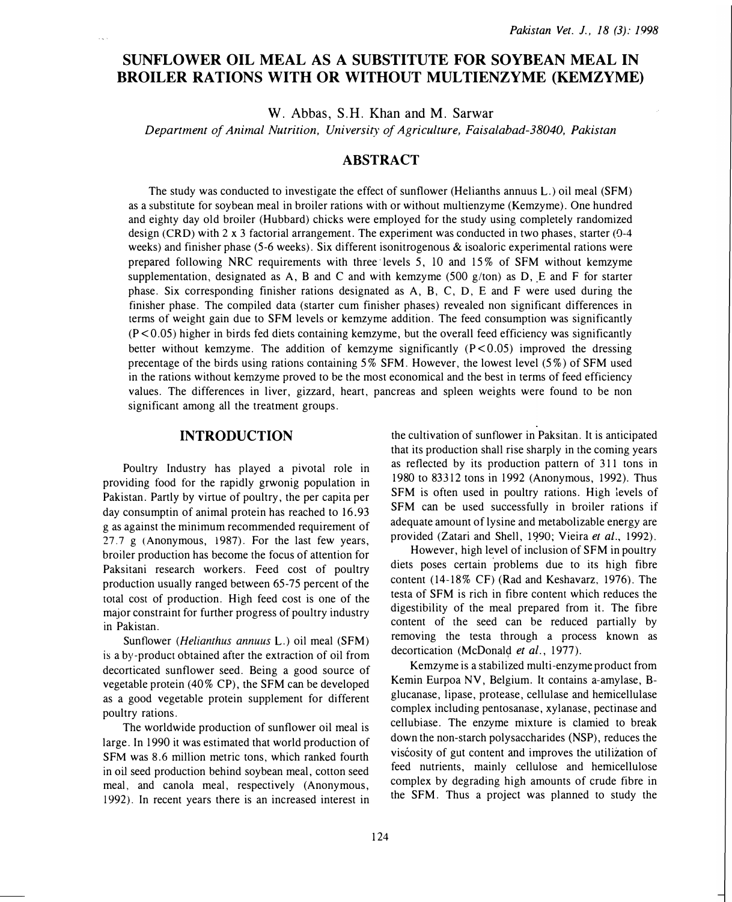# SUNFLOWER OIL MEAL AS A SUBSTITUTE FOR SOYBEAN MEAL IN BROILER RATIONS WITH OR WITHOUT MULTIENZYME (KEMZYME)

W. Abbas, S.H. Khan and M. Sarwar

Department of Animal Nutrition, University of Agriculture, Faisalabad-38040, Pakistan

## ABSTRACT

The study was conducted to investigate the effect of sunflower (Helianths annuus L.) oil meal (SFM) as a substitute for soybean meal in broiler rations with or without multienzyme (Kemzyme). One hundred and eighty day old broiler (Hubbard) chicks were employed for the study using completely randomized design (CRD) with 2 x 3 factorial arrangement. The experiment was conducted in two phases, starter (0-4 weeks) and finisher phase (5-6 weeks). Six different isonitrogenous & isoaloric experimental rations were prepared following NRC requirements with three levels 5, 10 and 15% of SFM without kemzyme supplementation, designated as A, B and C and with kemzyme (500  $g/t$  on) as D, E and F for starter phase. Six corresponding finisher rations designated as A, B, C, D, E and F were used during the finisher phase. The compiled data (starter cum finisher phases) revealed non significant differences in terms of weight gain due to SFM levels or kemzyme addition. The feed consumption was significantly  $(P<0.05)$  higher in birds fed diets containing kemzyme, but the overall feed efficiency was significantly better without kemzyme. The addition of kemzyme significantly  $(P<0.05)$  improved the dressing precentage of the birds using rations containing 5% SFM. However, the lowest level (5%) of SFM used in the rations without kemzyme proved to be the most economical and the best in terms of feed efficiency values. The differences in liver, gizzard, heart, pancreas and spleen weights were found to be non significant among all the treatment groups.

#### INTRODUCTION

Poultry Industry has played a pivotal role in providing food for the rapidly grwonig population in Pakistan. Partly by virtue of poultry, the per capita per day consumptin of animal protein has reached to 16.93 g as against the minimum recommended requirement of 27.7 g (Anonymous, 1987). For the last few years, broiler production has become the focus of attention for Paksitani research workers. Feed cost of poultry production usually ranged between 65-75 percent of the total cost of production. High feed cost is one of the major constraint for further progress of poultry industry in Pakistan.

Sunflower (*Helianthus annuus* L.) oil meal (SFM) is a by-product obtained after the extraction of oil from decorticated sunflower seed. Being a good source of vegetable protein (40% CP), the SFM can be developed as a good vegetable protein supplement for different poultry rations.

The worldwide production of sunflower oil meal is large. In 1990 it was estimated that world production of SFM was 8.6 million metric tons, which ranked fourth in oil seed production behind soybean meal, cotton seed meal, and canola meal, respectively (Anonymous, 1992). In recent years there is an increased interest in the cultivation of sunflower in Paksitan. It is anticipated that its production shall rise sharply in the coming years as reflected by its production pattern of 311 tons in 1980 to 83312 tons in 1992 (Anonymous, 1992). Thus SFM is often used in poultry rations. High levels of SFM can be used successfully in broiler rations if adequate amount of lysine and metabolizable energy are provided (Zatari and Shell, 1990; Vieira et al., 1992).

However, high level of inclusion of SFM in poultry diets poses certain problems due to its high fibre content (14-18% CF) (Rad and Keshavarz, 1976). The testa of SFM is rich in fibre content which reduces the digestibility of the meal prepared from it. The fibre content of the seed can be reduced partially by removing the testa through a process known as decortication (McDonald et al., 1977).

Kemzyme is a stabilized multi-enzyme product from Kemin Eurpoa NV, Belgium. It contains a-amylase, Bglucanase, lipase, protease, cellulase and hemicellulase complex including pentosanase, xylanase, pectinase and cellubiase. The enzyme mixture is clamied to break down the non-starch polysaccharides (NSP), reduces the viscosity of gut content and improves the utilization of feed nutrients, mainly cellulose and hemicellulose complex by degrading high amounts of crude fibre in the SFM. Thus a project was planned to study the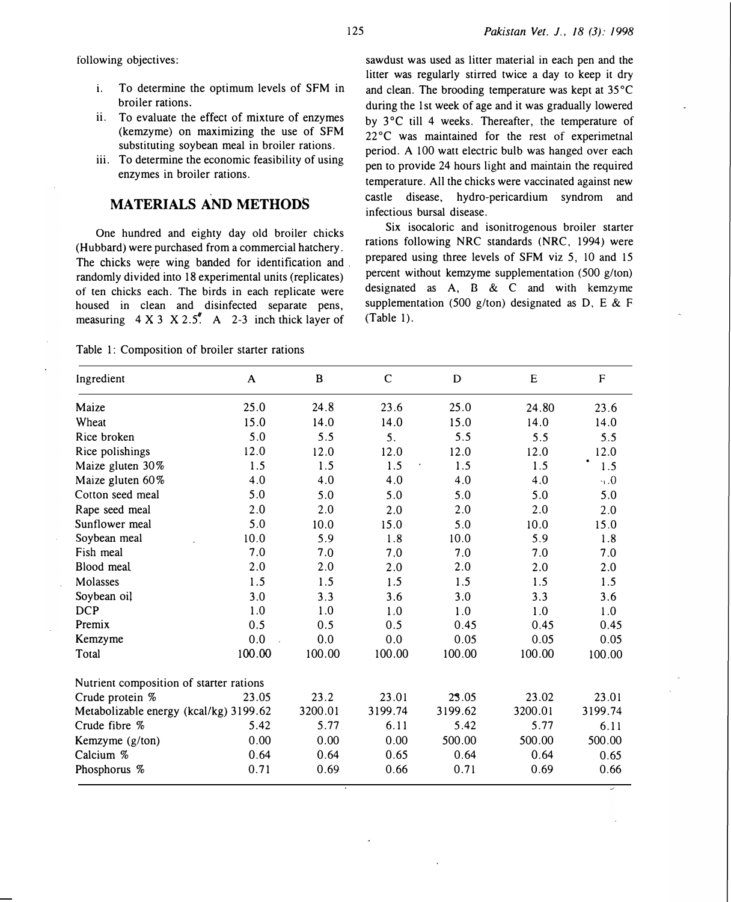following objectives:

- i. To determine the optimum levels of SFM in broiler rations.
- ii. To evaluate the effect of mixture of enzymes (kemzyme) on maximizing the use of SFM substituting soybean meal in broiler rations.
- iii. To determine the economic feasibility of using enzymes in broiler rations.

## MATERIALS AND METHODS

One hundred and eighty day old broiler chicks (Hubbard) were purchased from a commercial hatchery. The chicks were wing banded for identification and . randomly divided into 18 experimental units (replicates) of ten chicks each. The birds in each replicate were housed in clean and disinfected separate pens, measuring  $4 X 3 X 2.5<sup>#</sup>$  A 2-3 inch thick layer of

sawdust was used as litter material in each pen and the litter was regularly stirred twice a day to keep it dry and clean. The brooding temperature was kept at 35°C during the 1st week of age and it was gradually lowered by 3°C till 4 weeks. Thereafter, the temperature of  $22^{\circ}$ C was maintained for the rest of experimetnal period. A 100 watt electric bulb was hanged over each pen to provide 24 hours light and maintain the required temperature. All the chicks were vaccinated against new castle disease, hydro-pericardium syndrom and infectious bursal disease.

Six isocaloric and isonitrogenous broiler starter rations following NRC standards (NRC, 1994) were prepared using three levels of SFM viz 5, 10 and 15 percent without kemzyme supplementation (500 g/ton) designated as A, B & C and with kemzyme supplementation (500 g/ton) designated as D, E & F (Table 1).

| Ingredient                              | A      | B       | $\mathsf{C}$ | D       | E       | $\mathbf F$      |
|-----------------------------------------|--------|---------|--------------|---------|---------|------------------|
| Maize                                   | 25.0   | 24.8    | 23.6         | 25.0    | 24.80   | 23.6             |
| Wheat                                   | 15.0   | 14.0    | 14.0         | 15.0    | 14.0    | 14.0             |
| Rice broken                             | 5.0    | 5.5     | 5.           | 5.5     | 5.5     | 5.5              |
| Rice polishings                         | 12.0   | 12.0    | 12.0         | 12.0    | 12.0    | 12.0             |
| Maize gluten 30%                        | 1.5    | 1.5     | 1.5          | 1.5     | 1.5     | $\bullet$<br>1.5 |
| Maize gluten 60%                        | 4.0    | 4.0     | 4.0          | 4.0     | $4.0$   | 0.4              |
| Cotton seed meal                        | 5.0    | 5.0     | 5.0          | 5.0     | 5.0     | 5.0              |
| Rape seed meal                          | 2.0    | 2.0     | 2.0          | 2.0     | 2.0     | 2.0              |
| Sunflower meal                          | 5.0    | 10.0    | 15.0         | 5.0     | 10.0    | 15.0             |
| Soybean meal                            | 10.0   | 5.9     | 1.8          | 10.0    | 5.9     | 1.8              |
| Fish meal                               | 7.0    | 7.0     | 7.0          | 7.0     | 7.0     | 7.0              |
| Blood meal                              | 2.0    | 2.0     | 2.0          | 2.0     | 2.0     | 2.0              |
| Molasses                                | 1.5    | 1.5     | 1.5          | 1.5     | 1.5     | 1.5              |
| Soybean oil                             | 3.0    | 3.3     | 3.6          | 3.0     | 3.3     | 3.6              |
| <b>DCP</b>                              | 1.0    | 1.0     | 1.0          | 1.0     | 1.0     | 1.0              |
| Premix                                  | 0.5    | 0.5     | 0.5          | 0.45    | 0.45    | 0.45             |
| Kemzyme                                 | 0.0    | 0.0     | 0.0          | 0.05    | 0.05    | 0.05             |
| Total                                   | 100.00 | 100.00  | 100.00       | 100.00  | 100.00  | 100.00           |
| Nutrient composition of starter rations |        |         |              |         |         |                  |
| Crude protein %                         | 23.05  | 23.2    | 23.01        | 23.05   | 23.02   | 23.01            |
| Metabolizable energy (kcal/kg) 3199.62  |        | 3200.01 | 3199.74      | 3199.62 | 3200.01 | 3199.74          |
| Crude fibre %                           | 5.42   | 5.77    | 6.11         | 5.42    | 5.77    | 6.11             |
| Kemzyme (g/ton)                         | 0.00   | 0.00    | 0.00         | 500.00  | 500.00  | 500.00           |
| Calcium %                               | 0.64   | 0.64    | 0.65         | 0.64    | 0.64    | 0.65             |
| Phosphorus %                            | 0.71   | 0.69    | 0.66         | 0.71    | 0.69    | 0.66             |

Table 1: Composition of broiler starter rations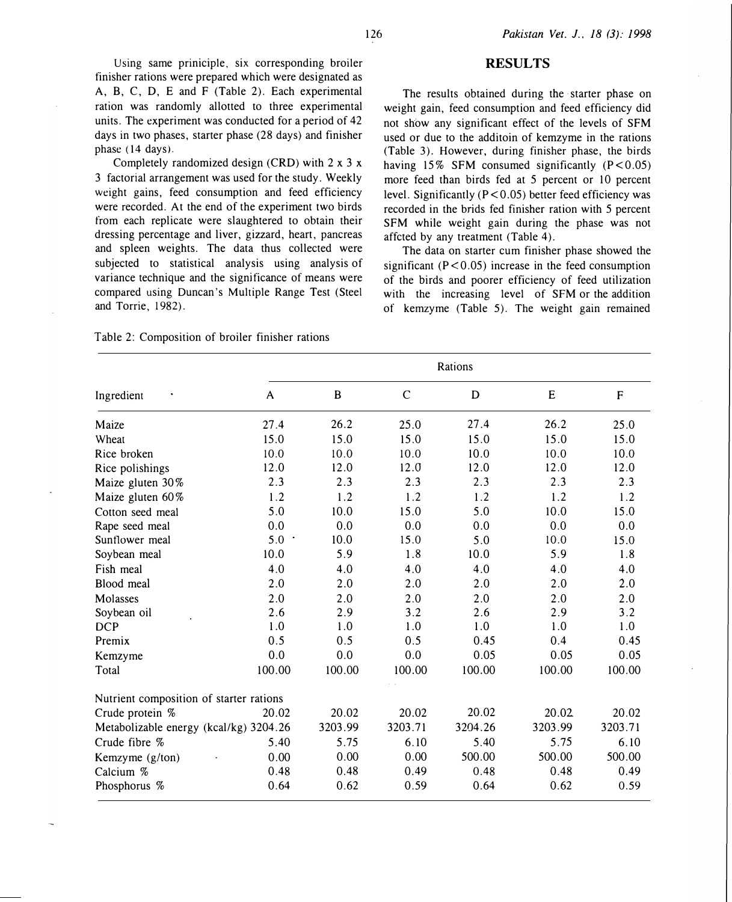Using same priniciple, six corresponding broiler finisher rations were prepared which were designated as A, B, C, D, E and F (Table 2). Each experimental ration was randomly allotted to three experimental units. The experiment was conducted for a period of 42 days in two phases, starter phase (28 days) and finisher phase (14 days).

Completely randomized design (CRD) with 2 x 3 x 3 factorial arrangement was used for the study. Weekly weight gains, feed consumption and feed efficiency were recorded. At the end of the experiment two birds from each replicate were slaughtered to obtain their dressing percentage and liver, gizzard, heart, pancreas and spleen weights. The data thus collected were subjected to statistical analysis using analysis of variance technique and the significance of means were compared using Duncan's Multiple Range Test (Steel and Torrie, 1982).

#### **RESULTS**

The results obtained during the· starter phase on weight gain, feed consumption and feed efficiency did not show any significant effect of the levels of SFM used or due to the additoin of kemzyme in the rations (Table 3). However, during finisher phase, the birds having 15% SFM consumed significantly  $(P<0.05)$ more feed than birds fed at 5 percent or 10 percent level. Significantly (P < 0.05) better feed efficiency was recorded in the brids fed finisher ration with 5 percent SFM while weight gain during the phase was not affcted by any treatment (Table 4).

The data on starter cum finisher phase showed the significant  $(P < 0.05)$  increase in the feed consumption of the birds and poorer efficiency of feed utilization with the increasing level of SFM or the addition of kemzyme (Table 5). The weight gain remained

Table 2: Composition of broiler finisher rations

|                                         | Rations |         |             |         |           |           |  |  |  |  |
|-----------------------------------------|---------|---------|-------------|---------|-----------|-----------|--|--|--|--|
| Ingredient                              | A       | B       | $\mathbf C$ | D       | ${\bf E}$ | ${\sf F}$ |  |  |  |  |
| Maize                                   | 27.4    | 26.2    | 25.0        | 27.4    | 26.2      | 25.0      |  |  |  |  |
| Wheat                                   | 15.0    | 15.0    | 15.0        | 15.0    | 15.0      | 15.0      |  |  |  |  |
| Rice broken                             | 10.0    | 10.0    | 10.0        | 10.0    | 10.0      | 10.0      |  |  |  |  |
| Rice polishings                         | 12.0    | 12.0    | 12.0        | 12.0    | 12.0      | 12.0      |  |  |  |  |
| Maize gluten 30%                        | 2.3     | 2.3     | 2.3         | 2.3     | 2.3       | 2.3       |  |  |  |  |
| Maize gluten 60%                        | 1.2     | 1.2     | 1.2         | 1.2     | 1.2       | 1.2       |  |  |  |  |
| Cotton seed meal                        | 5.0     | 10.0    | 15.0        | 5.0     | 10.0      | 15.0      |  |  |  |  |
| Rape seed meal                          | 0.0     | 0.0     | 0.0         | 0.0     | 0.0       | 0.0       |  |  |  |  |
| Sunflower meal                          | 5.0     | 10.0    | 15.0        | 5.0     | 10.0      | 15.0      |  |  |  |  |
| Soybean meal                            | 10.0    | 5.9     | 1.8         | 10.0    | 5.9       | 1.8       |  |  |  |  |
| Fish meal                               | 4.0     | 4.0     | 4.0         | 4.0     | 4.0       | 4.0       |  |  |  |  |
| Blood meal                              | 2.0     | 2.0     | 2.0         | 2.0     | 2.0       | 2.0       |  |  |  |  |
| Molasses                                | 2.0     | 2.0     | 2.0         | 2.0     | 2.0       | 2.0       |  |  |  |  |
| Soybean oil                             | 2.6     | 2.9     | 3.2         | 2.6     | 2.9       | 3.2       |  |  |  |  |
| <b>DCP</b>                              | 1.0     | 1.0     | 1.0         | 1.0     | 1.0       | 1.0       |  |  |  |  |
| Premix                                  | 0.5     | 0.5     | 0.5         | 0.45    | 0.4       | 0.45      |  |  |  |  |
| Kemzyme                                 | 0.0     | 0.0     | 0.0         | 0.05    | 0.05      | 0.05      |  |  |  |  |
| Total                                   | 100.00  | 100.00  | 100.00      | 100.00  | 100.00    | 100.00    |  |  |  |  |
| Nutrient composition of starter rations |         |         |             |         |           |           |  |  |  |  |
| Crude protein %                         | 20.02   | 20.02   | 20.02       | 20.02   | 20.02     | 20.02     |  |  |  |  |
| Metabolizable energy (kcal/kg) 3204.26  |         | 3203.99 | 3203.71     | 3204.26 | 3203.99   | 3203.71   |  |  |  |  |
| Crude fibre %                           | 5.40    | 5.75    | 6.10        | 5.40    | 5.75      | 6.10      |  |  |  |  |
| Kemzyme (g/ton)                         | 0.00    | 0.00    | 0.00        | 500.00  | 500.00    | 500.00    |  |  |  |  |
| Calcium %                               | 0.48    | 0.48    | 0.49        | 0.48    | 0.48      | 0.49      |  |  |  |  |
| Phosphorus %                            | 0.64    | 0.62    | 0.59        | 0.64    | 0.62      | 0.59      |  |  |  |  |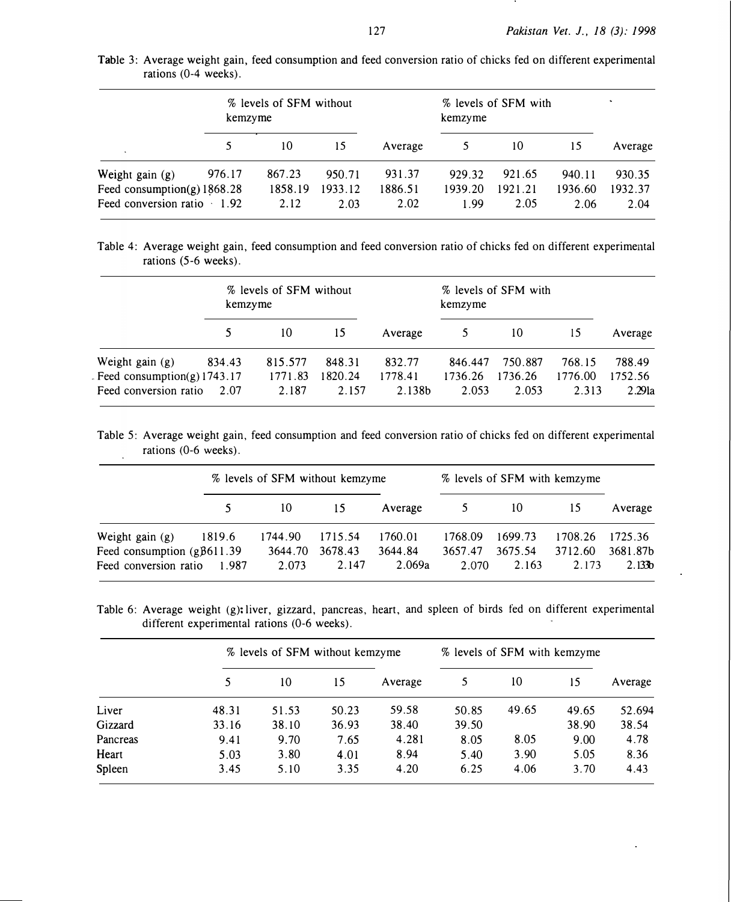|                                                                                | % levels of SFM without<br>kemzyme |                           |                           |                           | % levels of SFM with<br>kemzyme |                           |                           |                           |
|--------------------------------------------------------------------------------|------------------------------------|---------------------------|---------------------------|---------------------------|---------------------------------|---------------------------|---------------------------|---------------------------|
|                                                                                |                                    | 10                        | 15                        | Average                   |                                 | 10                        | 15                        | Average                   |
| Weight gain (g)<br>Feed consumption(g) $1868.28$<br>Feed conversion ratio 1.92 | 976.17                             | 867.23<br>1858.19<br>2.12 | 950.71<br>1933.12<br>2.03 | 931.37<br>1886.51<br>2.02 | 929.32<br>1939.20<br>1.99       | 921.65<br>1921.21<br>2.05 | 940.11<br>1936.60<br>2.06 | 930.35<br>1932.37<br>2.04 |

Table 3: Average weight gain, feed consumption and feed conversion ratio of chicks fed on different experimental rations (0-4 weeks).

Table 4: Average weight gain, feed consumption and feed conversion ratio of chicks fed on different experimental rations (5-6 weeks).

|                               |        | % levels of SFM without<br>kemzyme |         |         | % levels of SFM with<br>kemzyme |         |         |                    |
|-------------------------------|--------|------------------------------------|---------|---------|---------------------------------|---------|---------|--------------------|
|                               |        | 10                                 | 15      | Average | 5                               | 10      | 15      | Average            |
| Weight gain $(g)$             | 834.43 | 815.577                            | 848.31  | 832.77  | 846.447                         | 750.887 | 768.15  | 788.49             |
| Feed consumption(g) $1743.17$ |        | 1771.83                            | 1820.24 | 1778.41 | 1736.26                         | 1736.26 | 1776.00 | 1752.56            |
| Feed conversion ratio         | 2.07   | 2.187                              | 2.157   | 2.138b  | 2.053                           | 2.053   | 2.313   | 2.29 <sub>la</sub> |

Table 5: Average weight gain, feed consumption and feed conversion ratio of chicks fed on different experimental rations (0-6 weeks).

|                                    |        | % levels of SFM without kemzyme |         |         | % levels of SFM with kemzyme |         |         |                    |
|------------------------------------|--------|---------------------------------|---------|---------|------------------------------|---------|---------|--------------------|
|                                    |        | 10                              | 15      | Average | $5^{\circ}$                  | 10      | 15      | Average            |
| Weight gain (g)                    | 1819.6 | 1744.90                         | 1715.54 | 1760.01 | 1768.09                      | 1699.73 | 1708.26 | 1725.36            |
| Feed consumption $(g\beta 611.39)$ |        | 3644.70                         | 3678.43 | 3644.84 | 3657.47                      | 3675.54 | 3712.60 | 3681.87b           |
| Feed conversion ratio              | 1.987  | 2.073                           | 2.147   | 2.069a  | 2.070                        | 2.163   | 2.173   | 2.133 <sub>b</sub> |

Table 6: Average weight (g): liver, gizzard, pancreas, heart, and spleen of birds fed on different experimental different experimental rations (0-6 weeks).

|          | % levels of SFM without kemzyme |       |       |         | % levels of SFM with kemzyme |       |       |         |
|----------|---------------------------------|-------|-------|---------|------------------------------|-------|-------|---------|
|          |                                 | 10    | 15    | Average | 5                            | 10    | 15    | Average |
| Liver    | 48.31                           | 51.53 | 50.23 | 59.58   | 50.85                        | 49.65 | 49.65 | 52.694  |
| Gizzard  | 33.16                           | 38.10 | 36.93 | 38.40   | 39.50                        |       | 38.90 | 38.54   |
| Pancreas | 9.41                            | 9.70  | 7.65  | 4.281   | 8.05                         | 8.05  | 9.00  | 4.78    |
| Heart    | 5.03                            | 3.80  | 4.01  | 8.94    | 5.40                         | 3.90  | 5.05  | 8.36    |
| Spleen   | 3.45                            | 5.10  | 3.35  | 4.20    | 6.25                         | 4.06  | 3.70  | 4.43    |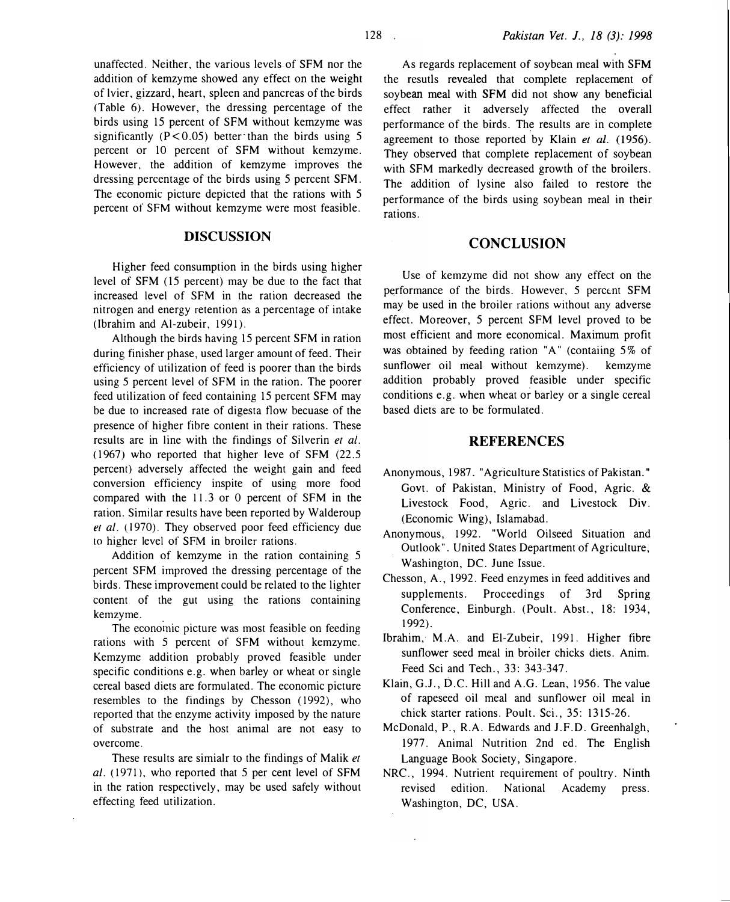unaffected. Neither, the various levels of SFM nor the addition of kemzyme showed any effect on the weight of lvier, gizzard, heart, spleen and pancreas of the birds (Table 6). However, the dressing percentage of the birds using 15 percent of SFM without kemzyme was significantly  $(P < 0.05)$  better than the birds using 5 percent or 10 percent of SFM without kemzyme. However, the addition of kemzyme improves the dressing percentage of the birds using 5 percent SFM. The economic picture depicted that the rations with 5 percem of SFM without kemzyme were most feasible.

#### DISCUSSION

Higher feed consumption in the birds using higher level of SFM (15 percent) may be due to the fact that increased level of SFM in the ration decreased the nitrogen and energy retention as a percentage of intake (Ibrahim and Al-zubeir, 1991).

Although the birds having 15 percent SFM in ration during finisher phase, used larger amount of feed. Their efficiency of utilization of feed is poorer than the birds using 5 percent level of SFM in the ration. The poorer feed utilization of feed containing 15 percent SFM may be due to increased rate of digesta tlow becuase of the presence of higher fibre content in their rations. These results are in line with the findings of Silverin et al. (1967) who reported that higher leve of SFM (22.5 percem) adversely affected the weight gain and feed conversion efficiency inspire of using more food compared with the 11.3 or 0 percent of SFM in the ration. Similar results have been reported by Walderoup et al. (1970). They observed poor feed efficiency due to higher level of SFM in broiler rations.

Addition of kemzyme in the ration containing 5 percent SFM improved the dressing percentage of the birds. These improvement could be related to the lighter content of the gut using the rations containing kemzyme.

The economic picture was most feasible on feeding rations with 5 percent of SFM without kemzyme. Kemzyme addition probably proved feasible under specific conditions e.g. when barley or wheat or single cereal based diets are formulated. The economic picture resembles to the findings by Chesson (1992), who reported that the enzyme activity imposed by the nature of substrate and the host animal are not easy to overcome.

These results are simialr to the findings of Malik et  $al.$  (1971), who reported that 5 per cent level of SFM in the ration respectively, may be used safely without effecting feed utilization.

As regards replacement of soybean meal with SFM the resutls revealed that complete replacement of soybean meal with SFM did not show any beneficial effect rather it adversely affected the overall performance of the birds. The results are in complete agreement to those reported by Klain et al. (1956). They observed that complete replacement of soybean with SFM markedly decreased growth of the broilers. The addition of lysine also failed to restore the performance of the birds using soybean meal in their rations.

## **CONCLUSION**

Use of kemzyme did not show any effect on the performance of the birds. However, 5 percent SFM may be used in the broiler rations without any adverse effect. Moreover, 5 percent SFM level proved to be most efficient and more economical. Maximum profit was obtained by feeding ration "A" (contaiing 5% of sunflower oil meal without kemzyme). kemzyme addition probably proved feasible under specific conditions e.g. when wheat or barley or a single cereal based diets are to be formulated.

#### **REFERENCES**

- Anonymous, 1987. "Agriculture Statistics of Pakistan." Govt. of Pakistan, Ministry of Food, Agric. & Livestock Food, Agric. and Livestock Div. (Economic Wing), Islamabad.
- Anonymous, 1992. "World Oilseed Situation and Outlook". United States Department of Agriculture, Washington, DC. June Issue.
- Chesson, A., 1992. Feed enzymes in feed additives and supplements. Proceedings of 3rd Spring Conference, Einburgh. (Poult. Abst., 18: 1934, 1992).
- Ibrahim, M.A. and El-Zubeir, 1991. Higher fibre sunflower seed meal in broiler chicks diets. Anim. Feed Sci and Tech., 33: 343-347.
- Klain, G.J., D.C. Hill and A.G. Lean, 1956. The value of rapeseed oil meal and sunflower oil meal in chick starter rations. Poult. Sci., 35: 1315-26.
- McDonald, P., R.A. Edwards and J.F.D. Greenhalgh, 1977. Animal Nutrition 2nd ed. The English Language Book Society, Singapore.
- NRC., 1994. Nutrient requirement of poultry. Ninth revised edition. National Academy press. Washington, DC, USA.